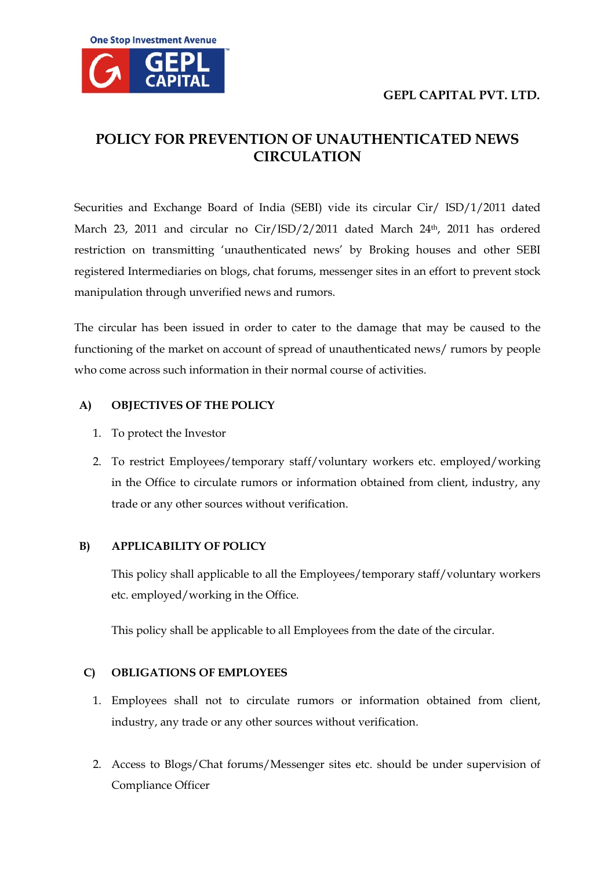

# **POLICY FOR PREVENTION OF UNAUTHENTICATED NEWS CIRCULATION**

Securities and Exchange Board of India (SEBI) vide its circular Cir/ ISD/1/2011 dated March 23, 2011 and circular no Cir/ISD/2/2011 dated March 24th, 2011 has ordered restriction on transmitting 'unauthenticated news' by Broking houses and other SEBI registered Intermediaries on blogs, chat forums, messenger sites in an effort to prevent stock manipulation through unverified news and rumors.

The circular has been issued in order to cater to the damage that may be caused to the functioning of the market on account of spread of unauthenticated news/ rumors by people who come across such information in their normal course of activities.

## **A) OBJECTIVES OF THE POLICY**

- 1. To protect the Investor
- 2. To restrict Employees/temporary staff/voluntary workers etc. employed/working in the Office to circulate rumors or information obtained from client, industry, any trade or any other sources without verification.

### **B) APPLICABILITY OF POLICY**

This policy shall applicable to all the Employees/temporary staff/voluntary workers etc. employed/working in the Office.

This policy shall be applicable to all Employees from the date of the circular.

# **C) OBLIGATIONS OF EMPLOYEES**

- 1. Employees shall not to circulate rumors or information obtained from client, industry, any trade or any other sources without verification.
- 2. Access to Blogs/Chat forums/Messenger sites etc. should be under supervision of Compliance Officer